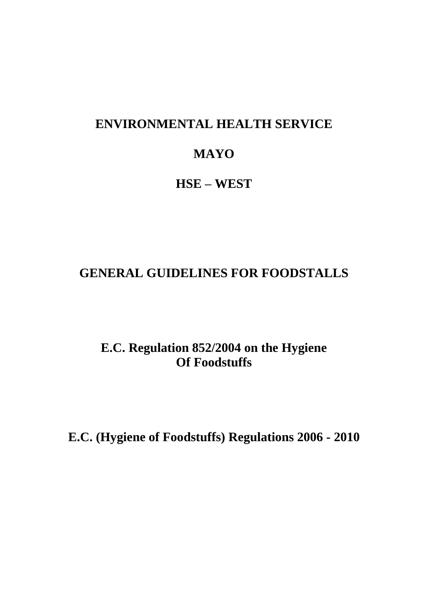# **ENVIRONMENTAL HEALTH SERVICE**

# **MAYO**

# **HSE – WEST**

# **GENERAL GUIDELINES FOR FOODSTALLS**

**E.C. Regulation 852/2004 on the Hygiene Of Foodstuffs**

**E.C. (Hygiene of Foodstuffs) Regulations 2006 - 2010**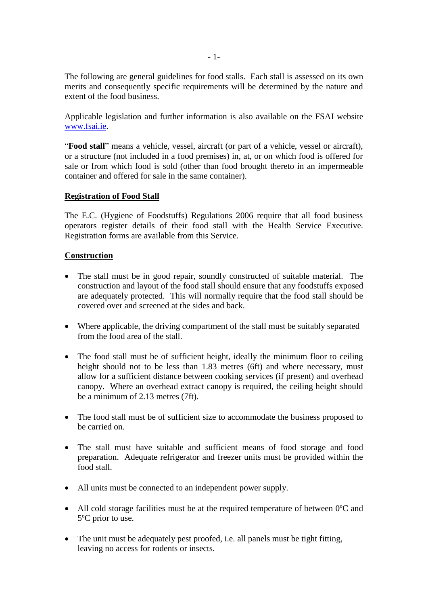The following are general guidelines for food stalls. Each stall is assessed on its own merits and consequently specific requirements will be determined by the nature and extent of the food business.

Applicable legislation and further information is also available on the FSAI website [www.fsai.ie.](http://www.fsai.ie/)

"**Food stall**" means a vehicle, vessel, aircraft (or part of a vehicle, vessel or aircraft), or a structure (not included in a food premises) in, at, or on which food is offered for sale or from which food is sold (other than food brought thereto in an impermeable container and offered for sale in the same container).

#### **Registration of Food Stall**

The E.C. (Hygiene of Foodstuffs) Regulations 2006 require that all food business operators register details of their food stall with the Health Service Executive. Registration forms are available from this Service.

#### **Construction**

- The stall must be in good repair, soundly constructed of suitable material. The construction and layout of the food stall should ensure that any foodstuffs exposed are adequately protected. This will normally require that the food stall should be covered over and screened at the sides and back.
- Where applicable, the driving compartment of the stall must be suitably separated from the food area of the stall.
- The food stall must be of sufficient height, ideally the minimum floor to ceiling height should not to be less than 1.83 metres (6ft) and where necessary, must allow for a sufficient distance between cooking services (if present) and overhead canopy. Where an overhead extract canopy is required, the ceiling height should be a minimum of 2.13 metres (7ft).
- The food stall must be of sufficient size to accommodate the business proposed to be carried on.
- The stall must have suitable and sufficient means of food storage and food preparation. Adequate refrigerator and freezer units must be provided within the food stall.
- All units must be connected to an independent power supply.
- All cold storage facilities must be at the required temperature of between 0 °C and 5ºC prior to use.
- The unit must be adequately pest proofed, i.e. all panels must be tight fitting, leaving no access for rodents or insects.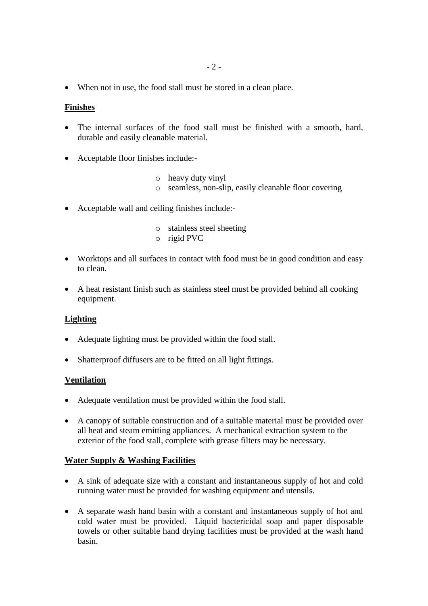When not in use, the food stall must be stored in a clean place.

#### **Finishes**

- The internal surfaces of the food stall must be finished with a smooth, hard, durable and easily cleanable material.
- Acceptable floor finishes include:
	- o heavy duty vinyl
	- o seamless, non-slip, easily cleanable floor covering
- Acceptable wall and ceiling finishes include:
	- o stainless steel sheeting
	- o rigid PVC
- Worktops and all surfaces in contact with food must be in good condition and easy to clean.
- A heat resistant finish such as stainless steel must be provided behind all cooking equipment.

#### **Lighting**

- Adequate lighting must be provided within the food stall.
- Shatterproof diffusers are to be fitted on all light fittings.

#### **Ventilation**

- Adequate ventilation must be provided within the food stall.
- A canopy of suitable construction and of a suitable material must be provided over all heat and steam emitting appliances. A mechanical extraction system to the exterior of the food stall, complete with grease filters may be necessary.

#### **Water Supply & Washing Facilities**

- A sink of adequate size with a constant and instantaneous supply of hot and cold running water must be provided for washing equipment and utensils.
- A separate wash hand basin with a constant and instantaneous supply of hot and cold water must be provided. Liquid bactericidal soap and paper disposable towels or other suitable hand drying facilities must be provided at the wash hand basin.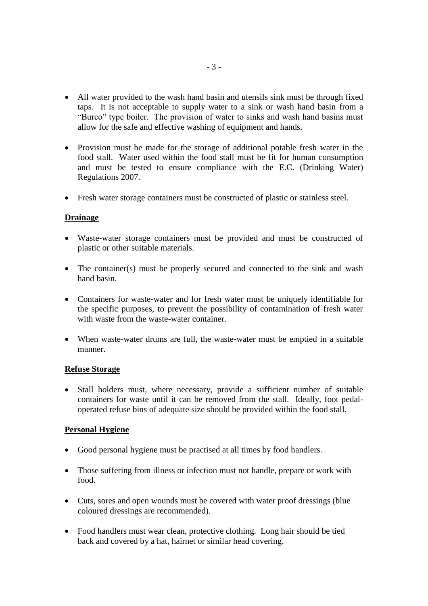- All water provided to the wash hand basin and utensils sink must be through fixed taps. It is not acceptable to supply water to a sink or wash hand basin from a "Burco" type boiler. The provision of water to sinks and wash hand basins must allow for the safe and effective washing of equipment and hands.
- Provision must be made for the storage of additional potable fresh water in the food stall. Water used within the food stall must be fit for human consumption and must be tested to ensure compliance with the E.C. (Drinking Water) Regulations 2007.
- Fresh water storage containers must be constructed of plastic or stainless steel.

### **Drainage**

- Waste-water storage containers must be provided and must be constructed of plastic or other suitable materials.
- The container(s) must be properly secured and connected to the sink and wash hand basin.
- Containers for waste-water and for fresh water must be uniquely identifiable for the specific purposes, to prevent the possibility of contamination of fresh water with waste from the waste-water container.
- When waste-water drums are full, the waste-water must be emptied in a suitable manner.

#### **Refuse Storage**

• Stall holders must, where necessary, provide a sufficient number of suitable containers for waste until it can be removed from the stall. Ideally, foot pedaloperated refuse bins of adequate size should be provided within the food stall.

## **Personal Hygiene**

- Good personal hygiene must be practised at all times by food handlers.
- Those suffering from illness or infection must not handle, prepare or work with food.
- Cuts, sores and open wounds must be covered with water proof dressings (blue coloured dressings are recommended).
- Food handlers must wear clean, protective clothing. Long hair should be tied back and covered by a hat, hairnet or similar head covering.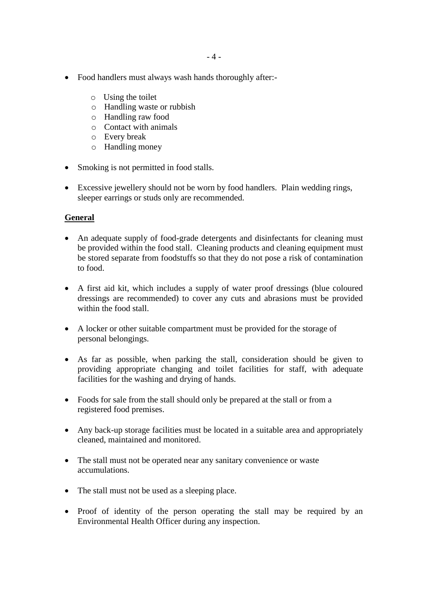- Food handlers must always wash hands thoroughly after:
	- o Using the toilet
	- o Handling waste or rubbish
	- o Handling raw food
	- o Contact with animals
	- o Every break
	- o Handling money
- Smoking is not permitted in food stalls.
- Excessive jewellery should not be worn by food handlers. Plain wedding rings, sleeper earrings or studs only are recommended.

### **General**

- An adequate supply of food-grade detergents and disinfectants for cleaning must be provided within the food stall. Cleaning products and cleaning equipment must be stored separate from foodstuffs so that they do not pose a risk of contamination to food.
- A first aid kit, which includes a supply of water proof dressings (blue coloured dressings are recommended) to cover any cuts and abrasions must be provided within the food stall.
- A locker or other suitable compartment must be provided for the storage of personal belongings.
- As far as possible, when parking the stall, consideration should be given to providing appropriate changing and toilet facilities for staff, with adequate facilities for the washing and drying of hands.
- Foods for sale from the stall should only be prepared at the stall or from a registered food premises.
- Any back-up storage facilities must be located in a suitable area and appropriately cleaned, maintained and monitored.
- The stall must not be operated near any sanitary convenience or waste accumulations.
- The stall must not be used as a sleeping place.
- Proof of identity of the person operating the stall may be required by an Environmental Health Officer during any inspection.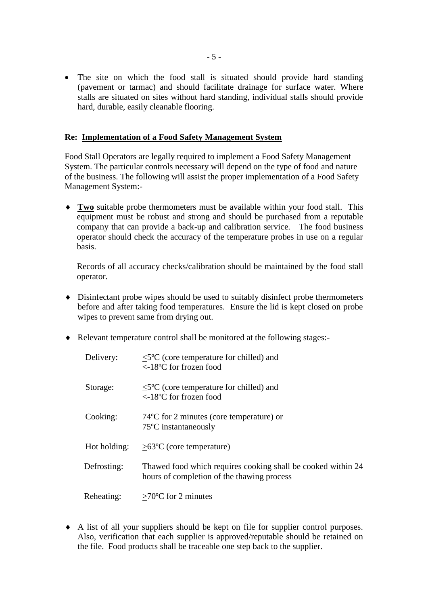• The site on which the food stall is situated should provide hard standing (pavement or tarmac) and should facilitate drainage for surface water. Where stalls are situated on sites without hard standing, individual stalls should provide hard, durable, easily cleanable flooring.

#### **Re: Implementation of a Food Safety Management System**

Food Stall Operators are legally required to implement a Food Safety Management System. The particular controls necessary will depend on the type of food and nature of the business. The following will assist the proper implementation of a Food Safety Management System:-

 **Two** suitable probe thermometers must be available within your food stall. This equipment must be robust and strong and should be purchased from a reputable company that can provide a back-up and calibration service. The food business operator should check the accuracy of the temperature probes in use on a regular basis.

Records of all accuracy checks/calibration should be maintained by the food stall operator.

- Disinfectant probe wipes should be used to suitably disinfect probe thermometers before and after taking food temperatures. Ensure the lid is kept closed on probe wipes to prevent same from drying out.
- Relevant temperature control shall be monitored at the following stages:-

| Delivery:    | $\leq$ <sup>5°</sup> C (core temperature for chilled) and<br>$\langle -18$ °C for frozen food              |
|--------------|------------------------------------------------------------------------------------------------------------|
| Storage:     | $\leq$ 5°C (core temperature for chilled) and<br><-18°C for frozen food                                    |
| Cooking:     | 74 °C for 2 minutes (core temperature) or<br>75 <sup>o</sup> C instantaneously                             |
| Hot holding: | $>63^{\circ}$ C (core temperature)                                                                         |
| Defrosting:  | Thawed food which requires cooking shall be cooked within 24<br>hours of completion of the thawing process |
| Reheating:   | $>70^{\circ}$ C for 2 minutes                                                                              |

 A list of all your suppliers should be kept on file for supplier control purposes. Also, verification that each supplier is approved/reputable should be retained on the file. Food products shall be traceable one step back to the supplier.